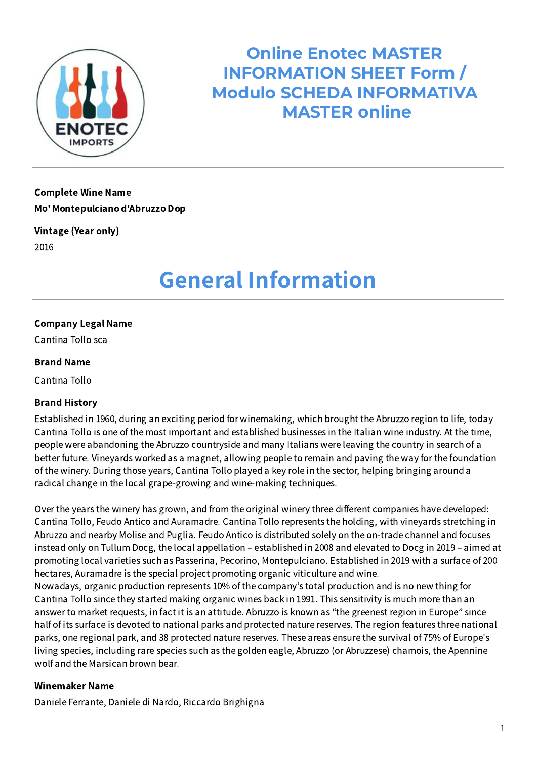

**Online Enotec MASTER INFORMATION SHEET Form / Modulo SCHEDA INFORMATIVA MASTER online**

### Complete Wine Name Mo' Montepulciano d'Abruzzo Dop

Vintage (Year only) 2016

### General Information

#### Company Legal Name

Cantina Tollo sca

#### Brand Name

Cantina Tollo

#### Brand History

Established in 1960, during an exciting period for winemaking, which brought the Abruzzo region to life, today Cantina Tollo is one of the most important and established businesses in the Italian wine industry. At the time, people were abandoning the Abruzzo countryside and many Italians were leaving the country in search of a better future. Vineyards worked as a magnet, allowing people to remain and paving the way for the foundation of the winery. During those years, Cantina Tollo played a key role in the sector, helping bringing around a radical change in the local grape-growing and wine-making techniques.

Over the years the winery has grown, and from the original winery three different companies have developed: Cantina Tollo, Feudo Antico and Auramadre. Cantina Tollo represents the holding, with vineyards stretching in Abruzzo and nearby Molise and Puglia. Feudo Antico is distributed solely on the on-trade channel and focuses instead only on Tullum Docg, the local appellation – established in 2008 and elevated to Docg in 2019 – aimed at promoting local varieties such as Passerina, Pecorino, Montepulciano. Established in 2019 with a surface of 200 hectares, Auramadre is the special project promoting organic viticulture and wine.

Nowadays, organic production represents 10% of the company's total production and is no new thing for Cantina Tollo since they started making organic wines back in 1991. This sensitivity is much more than an answer to market requests, in fact it is an attitude. Abruzzo is known as "the greenest region in Europe" since half of its surface is devoted to national parks and protected nature reserves. The region features three national parks, one regional park, and 38 protected nature reserves. These areas ensure the survival of 75% of Europe's living species, including rare species such as the golden eagle, Abruzzo (or Abruzzese) chamois, the Apennine wolf and the Marsican brown bear.

#### Winemaker Name

Daniele Ferrante, Daniele di Nardo, Riccardo Brighigna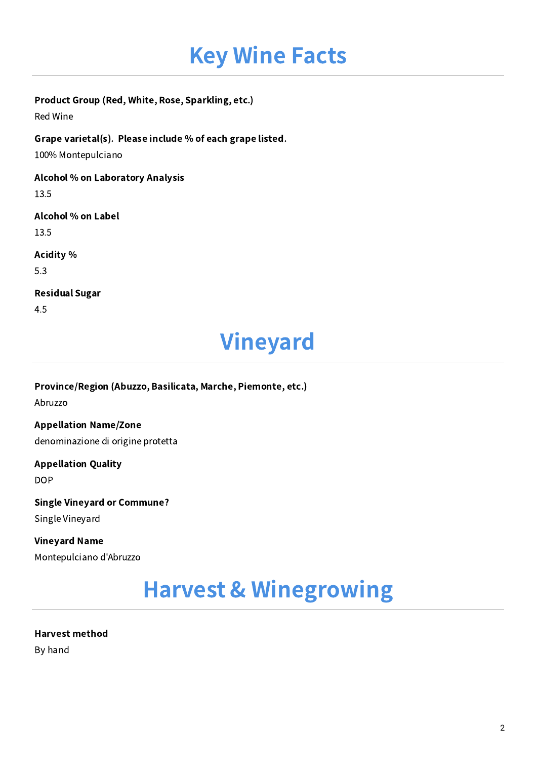## Key Wine Facts

#### Product Group (Red, White, Rose, Sparkling, etc.)

Red Wine

Grape varietal(s). Please include % of each grape listed.

100% Montepulciano

Alcohol % on Laboratory Analysis

13.5

#### Alcohol % on Label

13.5

Acidity %

5.3

#### Residual Sugar

4.5

### Vineyard

Province/Region (Abuzzo, Basilicata, Marche, Piemonte, etc.) Abruzzo

Appellation Name/Zone denominazione di origine protetta

Appellation Quality DOP

Single Vineyard or Commune? Single Vineyard

Vineyard Name Montepulciano d'Abruzzo

### Harvest & Winegrowing

Harvest method By hand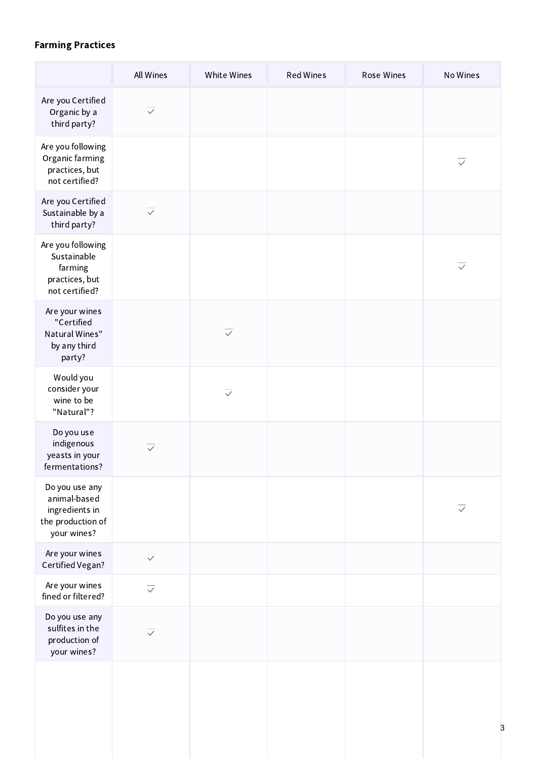#### Farming Practices

|                                                                                      | All Wines         | White Wines       | <b>Red Wines</b> | Rose Wines | No Wines                |
|--------------------------------------------------------------------------------------|-------------------|-------------------|------------------|------------|-------------------------|
| Are you Certified<br>Organic by a<br>third party?                                    | $\overline{\vee}$ |                   |                  |            |                         |
| Are you following<br>Organic farming<br>practices, but<br>not certified?             |                   |                   |                  |            | $\checkmark$            |
| Are you Certified<br>Sustainable by a<br>third party?                                | $\overline{\vee}$ |                   |                  |            |                         |
| Are you following<br>Sustainable<br>farming<br>practices, but<br>not certified?      |                   |                   |                  |            | $\overline{\checkmark}$ |
| Are your wines<br>"Certified<br>Natural Wines"<br>by any third<br>party?             |                   | $\overline{\vee}$ |                  |            |                         |
| Would you<br>consider your<br>wine to be<br>"Natural"?                               |                   | $\overline{\vee}$ |                  |            |                         |
| Do you use<br>indigenous<br>yeasts in your<br>fermentations?                         | $\overline{\vee}$ |                   |                  |            |                         |
| Do you use any<br>animal-based<br>ingredients in<br>the production of<br>your wines? |                   |                   |                  |            | $\checkmark$            |
| Are your wines<br>Certified Vegan?                                                   | $\overline{\vee}$ |                   |                  |            |                         |
| Are your wines<br>fined or filtered?                                                 | $\overline{\vee}$ |                   |                  |            |                         |
| Do you use any<br>sulfites in the<br>production of<br>your wines?                    | $\overline{\vee}$ |                   |                  |            |                         |
|                                                                                      |                   |                   |                  |            |                         |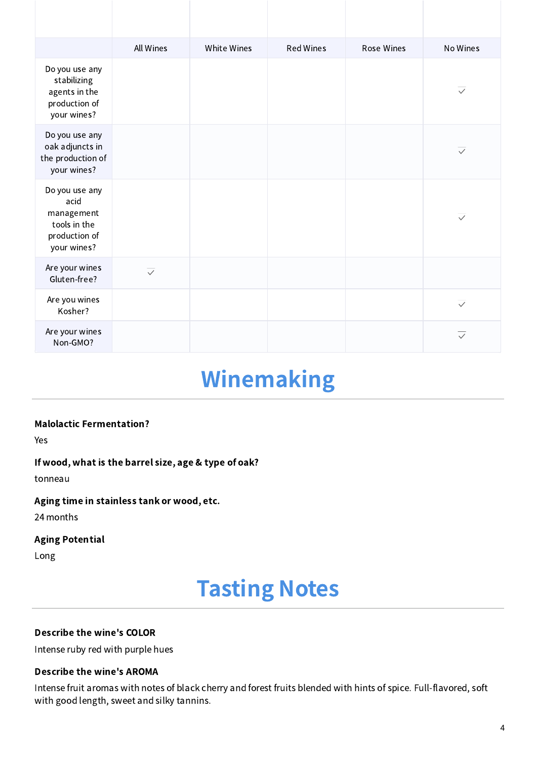|                                                                                      | All Wines         | White Wines | <b>Red Wines</b> | <b>Rose Wines</b> | No Wines                |
|--------------------------------------------------------------------------------------|-------------------|-------------|------------------|-------------------|-------------------------|
| Do you use any<br>stabilizing<br>agents in the<br>production of<br>your wines?       |                   |             |                  |                   | $\overline{\vee}$       |
| Do you use any<br>oak adjuncts in<br>the production of<br>your wines?                |                   |             |                  |                   | $\overline{\vee}$       |
| Do you use any<br>acid<br>management<br>tools in the<br>production of<br>your wines? |                   |             |                  |                   | $\overline{\vee}$       |
| Are your wines<br>Gluten-free?                                                       | $\overline{\vee}$ |             |                  |                   |                         |
| Are you wines<br>Kosher?                                                             |                   |             |                  |                   | $\overline{\checkmark}$ |
| Are your wines<br>Non-GMO?                                                           |                   |             |                  |                   | $\overline{\vee}$       |

### Winemaking

#### Malolactic Fermentation?

Yes

If wood, what is the barrel size, age & type of oak?

tonneau

#### Aging time in stainless tank or wood, etc.

24 months

#### Aging Potential

Long

### Tasting Notes

#### Describe the wine's COLOR

Intense ruby red with purple hues

#### Describe the wine's AROMA

Intense fruit aromas with notes of black cherry and forest fruits blended with hints of spice. Full-flavored, soft with good length, sweet and silky tannins.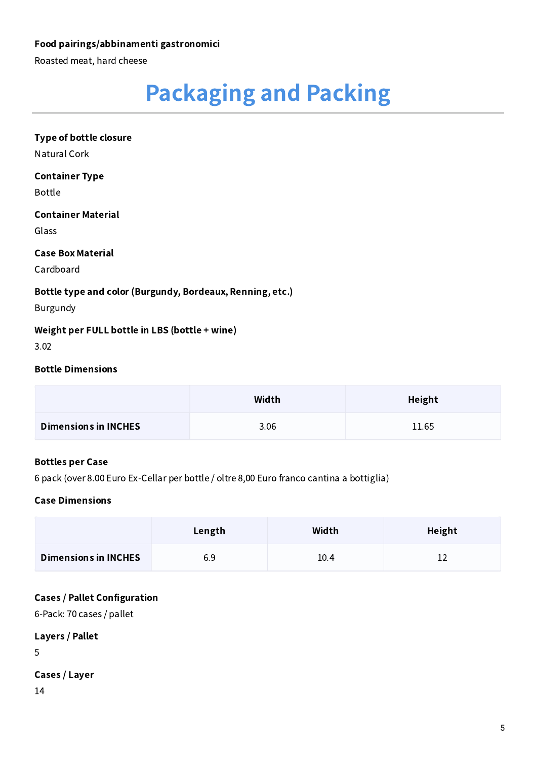#### Food pairings/abbinamenti gastronomici

Roasted meat, hard cheese

# Packaging and Packing

### Type of bottle closure Natural Cork

#### Container Type

Bottle

#### Container Material

Glass

#### Case Box Material

Cardboard

#### Bottle type and color (Burgundy, Bordeaux, Renning, etc.)

Burgundy

#### Weight per FULL bottle in LBS (bottle + wine)

3.02

#### Bottle Dimensions

|                             | Width | Height |
|-----------------------------|-------|--------|
| <b>Dimensions in INCHES</b> | 3.06  | 11.65  |

#### Bottles per Case

6 pack (over 8.00 Euro Ex-Cellar per bottle / oltre 8,00 Euro franco cantina a bottiglia)

#### Case Dimensions

|                             | Length | Width | Height |
|-----------------------------|--------|-------|--------|
| <b>Dimensions in INCHES</b> | 6.9    | 10.4  |        |

#### Cases / Pallet Configuration

-Pack: 70 cases / pallet

#### Layers / Pallet

5

#### Cases / Layer

14